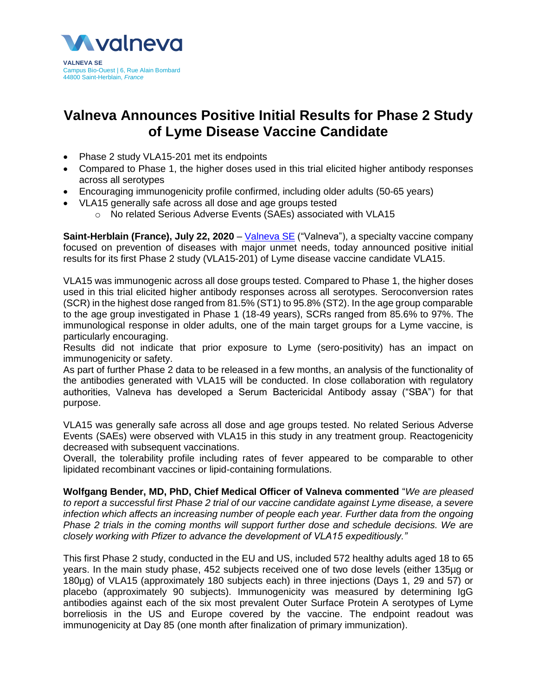

# **Valneva Announces Positive Initial Results for Phase 2 Study of Lyme Disease Vaccine Candidate**

- Phase 2 study VLA15-201 met its endpoints
- Compared to Phase 1, the higher doses used in this trial elicited higher antibody responses across all serotypes
- Encouraging immunogenicity profile confirmed, including older adults (50-65 years)
- VLA15 generally safe across all dose and age groups tested
	- o No related Serious Adverse Events (SAEs) associated with VLA15

**Saint-Herblain (France), July 22, 2020** – [Valneva SE](http://www.valneva.com/) ("Valneva"), a specialty vaccine company focused on prevention of diseases with major unmet needs, today announced positive initial results for its first Phase 2 study (VLA15-201) of Lyme disease vaccine candidate VLA15.

VLA15 was immunogenic across all dose groups tested. Compared to Phase 1, the higher doses used in this trial elicited higher antibody responses across all serotypes. Seroconversion rates (SCR) in the highest dose ranged from 81.5% (ST1) to 95.8% (ST2). In the age group comparable to the age group investigated in Phase 1 (18-49 years), SCRs ranged from 85.6% to 97%. The immunological response in older adults, one of the main target groups for a Lyme vaccine, is particularly encouraging.

Results did not indicate that prior exposure to Lyme (sero-positivity) has an impact on immunogenicity or safety.

As part of further Phase 2 data to be released in a few months, an analysis of the functionality of the antibodies generated with VLA15 will be conducted. In close collaboration with regulatory authorities, Valneva has developed a Serum Bactericidal Antibody assay ("SBA") for that purpose.

VLA15 was generally safe across all dose and age groups tested. No related Serious Adverse Events (SAEs) were observed with VLA15 in this study in any treatment group. Reactogenicity decreased with subsequent vaccinations.

Overall, the tolerability profile including rates of fever appeared to be comparable to other lipidated recombinant vaccines or lipid-containing formulations.

**Wolfgang Bender, MD, PhD, Chief Medical Officer of Valneva commented** "*We are pleased to report a successful first Phase 2 trial of our vaccine candidate against Lyme disease, a severe infection which affects an increasing number of people each year. Further data from the ongoing Phase 2 trials in the coming months will support further dose and schedule decisions. We are closely working with Pfizer to advance the development of VLA15 expeditiously."* 

This first Phase 2 study, conducted in the EU and US, included 572 healthy adults aged 18 to 65 years. In the main study phase, 452 subjects received one of two dose levels (either 135µg or 180µg) of VLA15 (approximately 180 subjects each) in three injections (Days 1, 29 and 57) or placebo (approximately 90 subjects). Immunogenicity was measured by determining IgG antibodies against each of the six most prevalent Outer Surface Protein A serotypes of Lyme borreliosis in the US and Europe covered by the vaccine. The endpoint readout was immunogenicity at Day 85 (one month after finalization of primary immunization).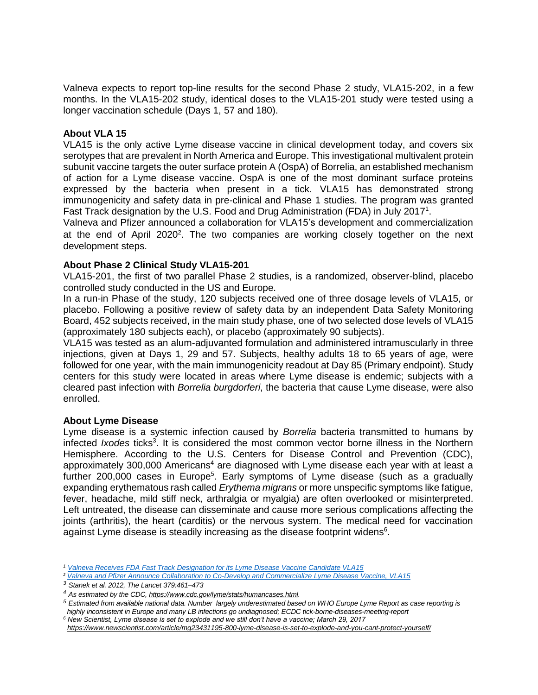Valneva expects to report top-line results for the second Phase 2 study, VLA15-202, in a few months. In the VLA15-202 study, identical doses to the VLA15-201 study were tested using a longer vaccination schedule (Days 1, 57 and 180).

# **About VLA 15**

VLA15 is the only active Lyme disease vaccine in clinical development today, and covers six serotypes that are prevalent in North America and Europe. This investigational multivalent protein subunit vaccine targets the outer surface protein A (OspA) of Borrelia, an established mechanism of action for a Lyme disease vaccine. OspA is one of the most dominant surface proteins expressed by the bacteria when present in a tick. VLA15 has demonstrated strong immunogenicity and safety data in pre-clinical and Phase 1 studies. The program was granted Fast Track designation by the U.S. Food and Drug Administration (FDA) in July 2017<sup>1</sup>.

Valneva and Pfizer announced a collaboration for VLA15's development and commercialization at the end of April  $2020^2$ . The two companies are working closely together on the next development steps.

# **About Phase 2 Clinical Study VLA15-201**

VLA15-201, the first of two parallel Phase 2 studies, is a randomized, observer-blind, placebo controlled study conducted in the US and Europe.

In a run-in Phase of the study, 120 subjects received one of three dosage levels of VLA15, or placebo. Following a positive review of safety data by an independent Data Safety Monitoring Board, 452 subjects received, in the main study phase, one of two selected dose levels of VLA15 (approximately 180 subjects each), or placebo (approximately 90 subjects).

VLA15 was tested as an alum-adjuvanted formulation and administered intramuscularly in three injections, given at Days 1, 29 and 57. Subjects, healthy adults 18 to 65 years of age, were followed for one year, with the main immunogenicity readout at Day 85 (Primary endpoint). Study centers for this study were located in areas where Lyme disease is endemic; subjects with a cleared past infection with *Borrelia burgdorferi*, the bacteria that cause Lyme disease, were also enrolled.

## **About Lyme Disease**

Lyme disease is a systemic infection caused by *Borrelia* bacteria transmitted to humans by infected *Ixodes* ticks<sup>3</sup>. It is considered the most common vector borne illness in the Northern Hemisphere. According to the U.S. Centers for Disease Control and Prevention (CDC), approximately 300,000 Americans<sup>4</sup> are diagnosed with Lyme disease each year with at least a further 200,000 cases in Europe<sup>5</sup>. Early symptoms of Lyme disease (such as a gradually expanding erythematous rash called *Erythema migrans* or more unspecific symptoms like fatigue, fever, headache, mild stiff neck, arthralgia or myalgia) are often overlooked or misinterpreted. Left untreated, the disease can disseminate and cause more serious complications affecting the joints (arthritis), the heart (carditis) or the nervous system. The medical need for vaccination against Lyme disease is steadily increasing as the disease footprint widens $6$ .

 $\overline{\phantom{a}}$ *<sup>1</sup> [Valneva Receives FDA Fast Track Designation for its Lyme Disease Vaccine Candidate VLA15](https://valneva.com/press-release/valneva-receives-fda-fast-track-designation-for-its-lyme-disease-vaccine-candidate-vla15/)*

*<sup>2</sup> [Valneva and Pfizer Announce Collaboration to Co-Develop and Commercialize Lyme Disease Vaccine, VLA15](https://valneva.com/press-release/valneva-and-pfizer-announce-collaboration-to-co-develop-and-commercialize-lyme-disease-vaccine-vla15/)*

*<sup>3</sup> Stanek et al. 2012, The Lancet 379:461–473*

*<sup>4</sup> As estimated by the CDC[, https://www.cdc.gov/lyme/stats/humancases.html.](https://www.cdc.gov/lyme/stats/humancases.html)*

*<sup>5</sup> Estimated from available national data. Number largely underestimated based on WHO Europe Lyme Report as case reporting is highly inconsistent in Europe and many LB infections go undiagnosed; ECDC tick-borne-diseases-meeting-report*

*<sup>6</sup> New Scientist, Lyme disease is set to explode and we still don't have a vaccine; March 29, 2017 <https://www.newscientist.com/article/mg23431195-800-lyme-disease-is-set-to-explode-and-you-cant-protect-yourself/>*